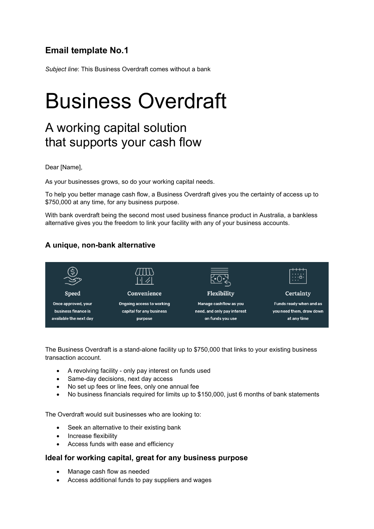## **Email template No.1**

*Subject line*: This Business Overdraft comes without a bank

# Business Overdraft

# A working capital solution that supports your cash flow

Dear [Name],

As your businesses grows, so do your working capital needs.

To help you better manage cash flow, a Business Overdraft gives you the certainty of access up to \$750,000 at any time, for any business purpose.

With bank overdraft being the second most used business finance product in Australia, a bankless alternative gives you the freedom to link your facility with any of your business accounts.

### **A unique, non-bank alternative**



The Business Overdraft is a stand-alone facility up to \$750,000 that links to your existing business transaction account.

- A revolving facility only pay interest on funds used
- Same-day decisions, next day access
- No set up fees or line fees, only one annual fee
- No business financials required for limits up to \$150,000, just 6 months of bank statements

The Overdraft would suit businesses who are looking to:

- Seek an alternative to their existing bank
- Increase flexibility
- Access funds with ease and efficiency

### **Ideal for working capital, great for any business purpose**

- Manage cash flow as needed
- Access additional funds to pay suppliers and wages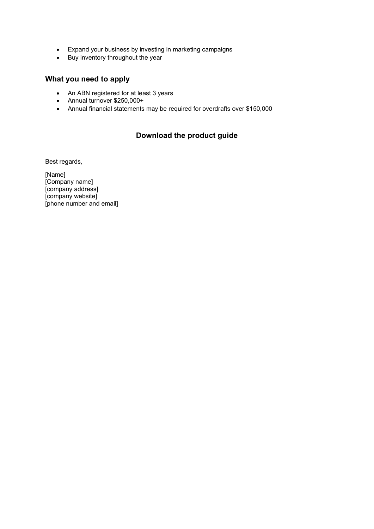- Expand your business by investing in marketing campaigns
- Buy inventory throughout the year

### **What you need to apply**

- An ABN registered for at least 3 years
- Annual turnover \$250,000+
- Annual financial statements may be required for overdrafts over \$150,000

### **Download the product guide**

Best regards,

[Name] [Company name] [company address] [company website] [phone number and email]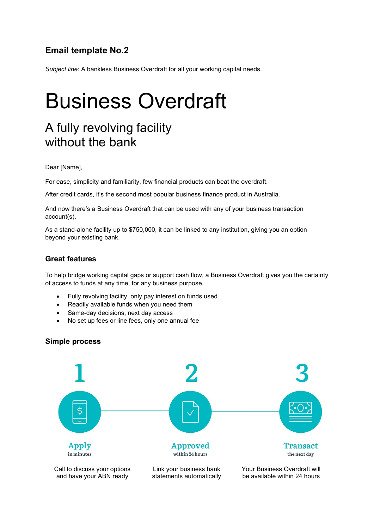## **Email template No.2**

*Subject line*: A bankless Business Overdraft for all your working capital needs.

# Business Overdraft

# A fully revolving facility without the bank

#### Dear [Name],

For ease, simplicity and familiarity, few financial products can beat the overdraft.

After credit cards, it's the second most popular business finance product in Australia.

And now there's a Business Overdraft that can be used with any of your business transaction account(s).

As a stand-alone facility up to \$750,000, it can be linked to any institution, giving you an option beyond your existing bank.

### **Great features**

To help bridge working capital gaps or support cash flow, a Business Overdraft gives you the certainty of access to funds at any time, for any business purpose.

- Fully revolving facility, only pay interest on funds used
- Readily available funds when you need them
- Same-day decisions, next day access
- No set up fees or line fees, only one annual fee

#### **Simple process**